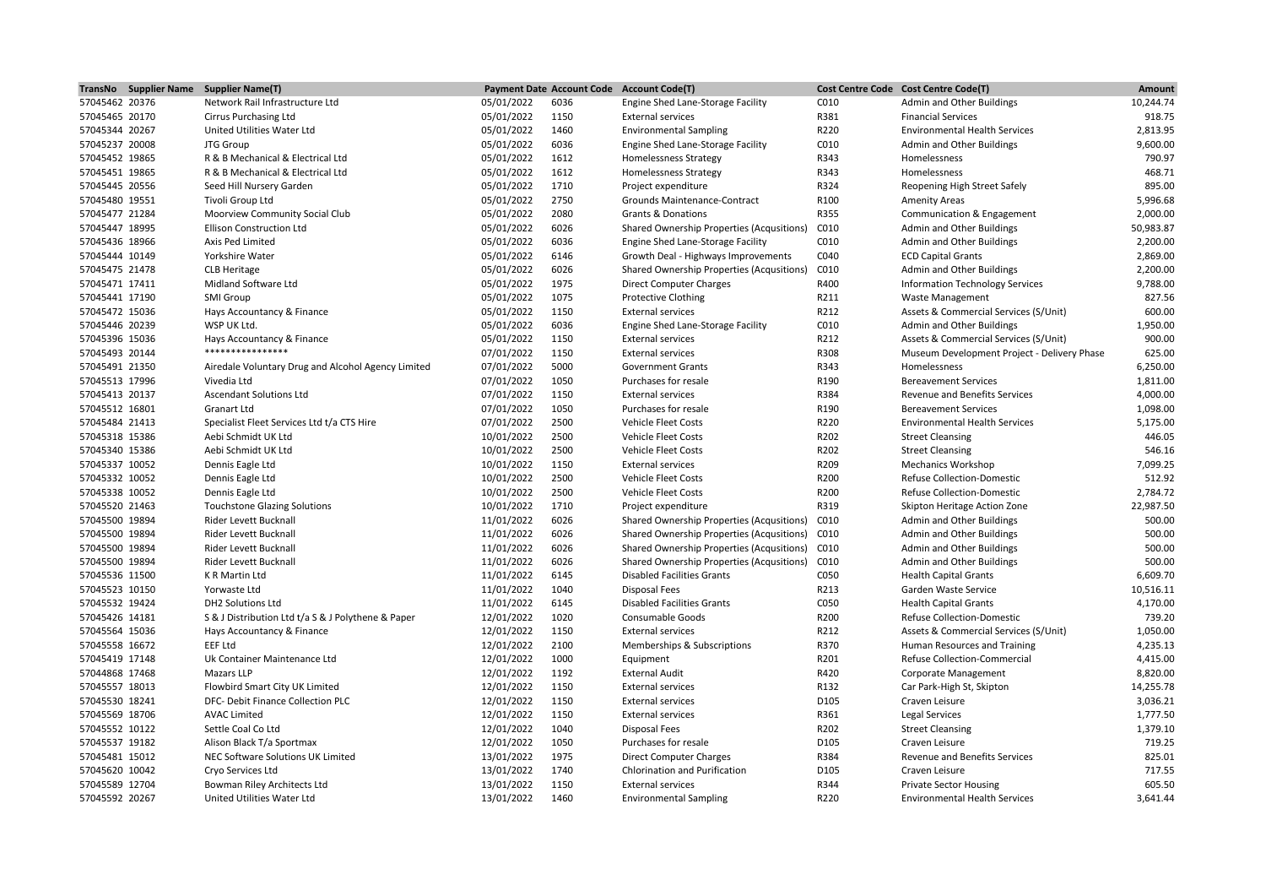|                | TransNo Supplier Name Supplier Name(T)             |            |      | Payment Date Account Code Account Code(T)        |      | Cost Centre Code Cost Centre Code(T)        | Amount    |
|----------------|----------------------------------------------------|------------|------|--------------------------------------------------|------|---------------------------------------------|-----------|
| 57045462 20376 | Network Rail Infrastructure Ltd                    | 05/01/2022 | 6036 | Engine Shed Lane-Storage Facility                | C010 | Admin and Other Buildings                   | 10,244.74 |
| 57045465 20170 | Cirrus Purchasing Ltd                              | 05/01/2022 | 1150 | <b>External services</b>                         | R381 | <b>Financial Services</b>                   | 918.75    |
| 57045344 20267 | United Utilities Water Ltd                         | 05/01/2022 | 1460 | <b>Environmental Sampling</b>                    | R220 | <b>Environmental Health Services</b>        | 2,813.95  |
| 57045237 20008 | JTG Group                                          | 05/01/2022 | 6036 | Engine Shed Lane-Storage Facility                | C010 | Admin and Other Buildings                   | 9,600.00  |
| 57045452 19865 | R & B Mechanical & Electrical Ltd                  | 05/01/2022 | 1612 | <b>Homelessness Strategy</b>                     | R343 | Homelessness                                | 790.97    |
| 57045451 19865 | R & B Mechanical & Electrical Ltd                  | 05/01/2022 | 1612 | <b>Homelessness Strategy</b>                     | R343 | Homelessness                                | 468.71    |
| 57045445 20556 | Seed Hill Nursery Garden                           | 05/01/2022 | 1710 | Project expenditure                              | R324 | Reopening High Street Safely                | 895.00    |
| 57045480 19551 | Tivoli Group Ltd                                   | 05/01/2022 | 2750 | Grounds Maintenance-Contract                     | R100 | <b>Amenity Areas</b>                        | 5,996.68  |
| 57045477 21284 | Moorview Community Social Club                     | 05/01/2022 | 2080 | <b>Grants &amp; Donations</b>                    | R355 | Communication & Engagement                  | 2,000.00  |
| 57045447 18995 | <b>Ellison Construction Ltd</b>                    | 05/01/2022 | 6026 | Shared Ownership Properties (Acqusitions)        | C010 | Admin and Other Buildings                   | 50,983.87 |
| 57045436 18966 | Axis Ped Limited                                   | 05/01/2022 | 6036 | Engine Shed Lane-Storage Facility                | C010 | Admin and Other Buildings                   | 2,200.00  |
| 57045444 10149 | Yorkshire Water                                    | 05/01/2022 | 6146 | Growth Deal - Highways Improvements              | C040 | <b>ECD Capital Grants</b>                   | 2,869.00  |
| 57045475 21478 | <b>CLB Heritage</b>                                | 05/01/2022 | 6026 | Shared Ownership Properties (Acqusitions)        | C010 | Admin and Other Buildings                   | 2,200.00  |
| 57045471 17411 | Midland Software Ltd                               | 05/01/2022 | 1975 | <b>Direct Computer Charges</b>                   | R400 | <b>Information Technology Services</b>      | 9,788.00  |
| 57045441 17190 | <b>SMI Group</b>                                   | 05/01/2022 | 1075 | <b>Protective Clothing</b>                       | R211 | <b>Waste Management</b>                     | 827.56    |
| 57045472 15036 | Hays Accountancy & Finance                         | 05/01/2022 | 1150 | <b>External services</b>                         | R212 | Assets & Commercial Services (S/Unit)       | 600.00    |
| 57045446 20239 | WSP UK Ltd.                                        | 05/01/2022 | 6036 | Engine Shed Lane-Storage Facility                | C010 | Admin and Other Buildings                   | 1,950.00  |
| 57045396 15036 | Hays Accountancy & Finance                         | 05/01/2022 | 1150 | <b>External services</b>                         | R212 | Assets & Commercial Services (S/Unit)       | 900.00    |
| 57045493 20144 | ****************                                   | 07/01/2022 | 1150 | <b>External services</b>                         | R308 | Museum Development Project - Delivery Phase | 625.00    |
| 57045491 21350 | Airedale Voluntary Drug and Alcohol Agency Limited | 07/01/2022 | 5000 | <b>Government Grants</b>                         | R343 | Homelessness                                | 6,250.00  |
| 57045513 17996 | Vivedia Ltd                                        | 07/01/2022 | 1050 | Purchases for resale                             | R190 | <b>Bereavement Services</b>                 | 1,811.00  |
| 57045413 20137 | <b>Ascendant Solutions Ltd</b>                     | 07/01/2022 | 1150 | <b>External services</b>                         | R384 | <b>Revenue and Benefits Services</b>        | 4,000.00  |
| 57045512 16801 | <b>Granart Ltd</b>                                 | 07/01/2022 | 1050 | Purchases for resale                             | R190 | <b>Bereavement Services</b>                 | 1,098.00  |
| 57045484 21413 | Specialist Fleet Services Ltd t/a CTS Hire         | 07/01/2022 | 2500 | <b>Vehicle Fleet Costs</b>                       | R220 | <b>Environmental Health Services</b>        | 5,175.00  |
| 57045318 15386 | Aebi Schmidt UK Ltd                                | 10/01/2022 | 2500 | Vehicle Fleet Costs                              | R202 | <b>Street Cleansing</b>                     | 446.05    |
| 57045340 15386 | Aebi Schmidt UK Ltd                                | 10/01/2022 | 2500 | <b>Vehicle Fleet Costs</b>                       | R202 | <b>Street Cleansing</b>                     | 546.16    |
| 57045337 10052 | Dennis Eagle Ltd                                   | 10/01/2022 | 1150 | <b>External services</b>                         | R209 | <b>Mechanics Workshop</b>                   | 7,099.25  |
| 57045332 10052 | Dennis Eagle Ltd                                   | 10/01/2022 | 2500 | <b>Vehicle Fleet Costs</b>                       | R200 | <b>Refuse Collection-Domestic</b>           | 512.92    |
| 57045338 10052 | Dennis Eagle Ltd                                   | 10/01/2022 | 2500 | Vehicle Fleet Costs                              | R200 | <b>Refuse Collection-Domestic</b>           | 2,784.72  |
| 57045520 21463 | <b>Touchstone Glazing Solutions</b>                | 10/01/2022 | 1710 | Project expenditure                              | R319 | Skipton Heritage Action Zone                | 22,987.50 |
| 57045500 19894 | Rider Levett Bucknall                              | 11/01/2022 | 6026 | Shared Ownership Properties (Acqusitions)        | C010 | Admin and Other Buildings                   | 500.00    |
| 57045500 19894 | Rider Levett Bucknall                              | 11/01/2022 | 6026 | Shared Ownership Properties (Acqusitions)        | C010 | Admin and Other Buildings                   | 500.00    |
| 57045500 19894 | Rider Levett Bucknall                              | 11/01/2022 | 6026 | Shared Ownership Properties (Acqusitions)        | C010 | Admin and Other Buildings                   | 500.00    |
| 57045500 19894 | <b>Rider Levett Bucknall</b>                       | 11/01/2022 | 6026 | <b>Shared Ownership Properties (Acqusitions)</b> | C010 | Admin and Other Buildings                   | 500.00    |
| 57045536 11500 | K R Martin Ltd                                     | 11/01/2022 | 6145 | <b>Disabled Facilities Grants</b>                | C050 | <b>Health Capital Grants</b>                | 6,609.70  |
| 57045523 10150 | Yorwaste Ltd                                       | 11/01/2022 | 1040 | <b>Disposal Fees</b>                             | R213 | Garden Waste Service                        | 10,516.11 |
| 57045532 19424 | <b>DH2 Solutions Ltd</b>                           | 11/01/2022 | 6145 | <b>Disabled Facilities Grants</b>                | C050 | <b>Health Capital Grants</b>                | 4,170.00  |
| 57045426 14181 | S & J Distribution Ltd t/a S & J Polythene & Paper | 12/01/2022 | 1020 | Consumable Goods                                 | R200 | <b>Refuse Collection-Domestic</b>           | 739.20    |
| 57045564 15036 | Hays Accountancy & Finance                         | 12/01/2022 | 1150 | <b>External services</b>                         | R212 | Assets & Commercial Services (S/Unit)       | 1,050.00  |
| 57045558 16672 | <b>EEF Ltd</b>                                     | 12/01/2022 | 2100 | Memberships & Subscriptions                      | R370 | Human Resources and Training                | 4,235.13  |
| 57045419 17148 | Uk Container Maintenance Ltd                       | 12/01/2022 | 1000 | Equipment                                        | R201 | Refuse Collection-Commercial                | 4,415.00  |
| 57044868 17468 | Mazars LLP                                         | 12/01/2022 | 1192 | <b>External Audit</b>                            | R420 | Corporate Management                        | 8,820.00  |
| 57045557 18013 | Flowbird Smart City UK Limited                     | 12/01/2022 | 1150 | <b>External services</b>                         | R132 | Car Park-High St, Skipton                   | 14,255.78 |
| 57045530 18241 | DFC- Debit Finance Collection PLC                  | 12/01/2022 | 1150 | <b>External services</b>                         | D105 | Craven Leisure                              | 3,036.21  |
| 57045569 18706 | <b>AVAC Limited</b>                                | 12/01/2022 | 1150 | <b>External services</b>                         | R361 | <b>Legal Services</b>                       | 1,777.50  |
| 57045552 10122 | Settle Coal Co Ltd                                 | 12/01/2022 | 1040 | <b>Disposal Fees</b>                             | R202 | <b>Street Cleansing</b>                     | 1,379.10  |
| 57045537 19182 | Alison Black T/a Sportmax                          | 12/01/2022 | 1050 | Purchases for resale                             | D105 | Craven Leisure                              | 719.25    |
| 57045481 15012 | NEC Software Solutions UK Limited                  | 13/01/2022 | 1975 | <b>Direct Computer Charges</b>                   | R384 | Revenue and Benefits Services               | 825.01    |
| 57045620 10042 | Cryo Services Ltd                                  | 13/01/2022 | 1740 | <b>Chlorination and Purification</b>             | D105 | Craven Leisure                              | 717.55    |
| 57045589 12704 | Bowman Riley Architects Ltd                        | 13/01/2022 | 1150 | <b>External services</b>                         | R344 | <b>Private Sector Housing</b>               | 605.50    |
| 57045592 20267 | United Utilities Water Ltd                         | 13/01/2022 | 1460 | <b>Environmental Sampling</b>                    | R220 | <b>Environmental Health Services</b>        | 3,641.44  |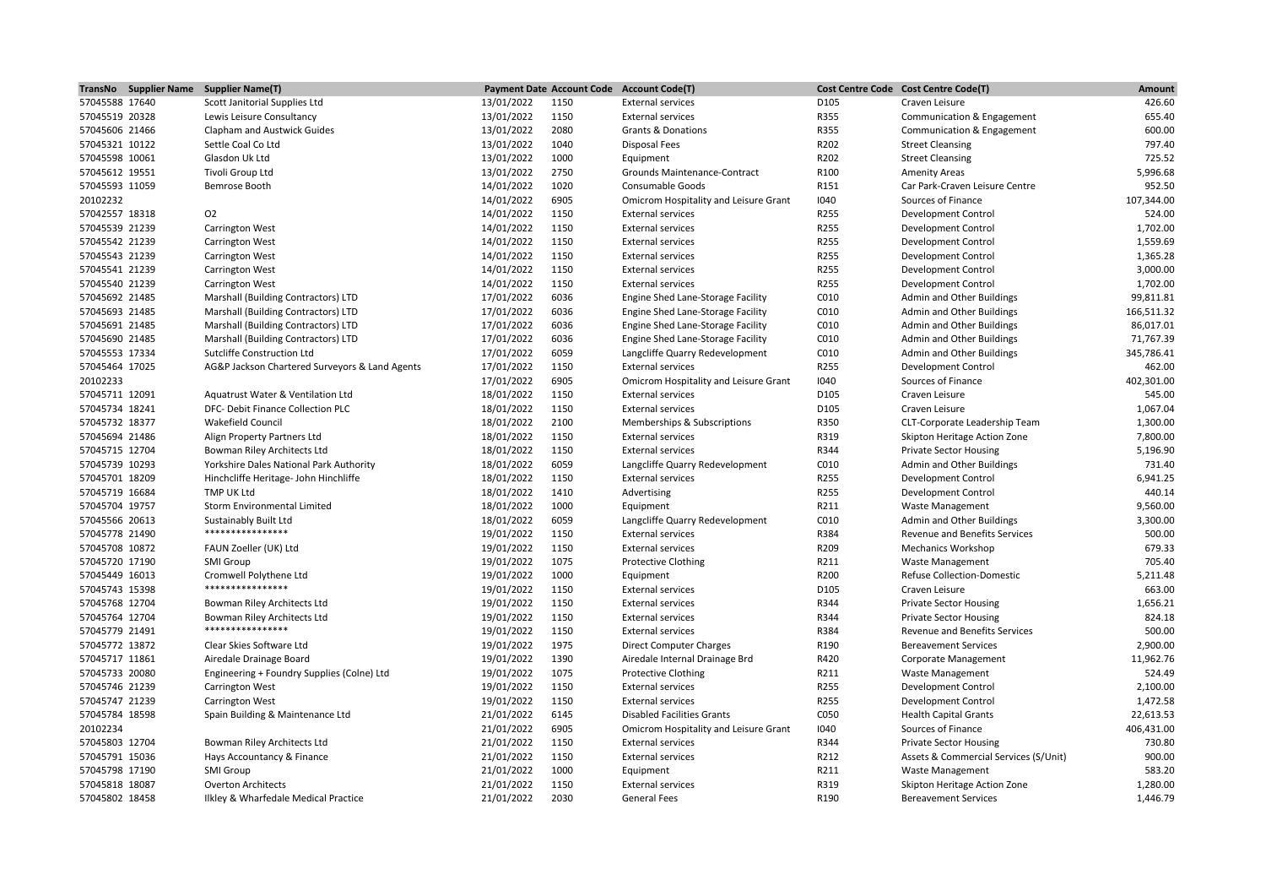|                | TransNo Supplier Name | <b>Supplier Name(T)</b>                        |            |      | Payment Date Account Code Account Code(T) |      | Cost Centre Code Cost Centre Code(T)  | Amount     |
|----------------|-----------------------|------------------------------------------------|------------|------|-------------------------------------------|------|---------------------------------------|------------|
| 57045588 17640 |                       | Scott Janitorial Supplies Ltd                  | 13/01/2022 | 1150 | <b>External services</b>                  | D105 | Craven Leisure                        | 426.60     |
| 57045519 20328 |                       | Lewis Leisure Consultancy                      | 13/01/2022 | 1150 | <b>External services</b>                  | R355 | Communication & Engagement            | 655.40     |
| 57045606 21466 |                       | <b>Clapham and Austwick Guides</b>             | 13/01/2022 | 2080 | <b>Grants &amp; Donations</b>             | R355 | Communication & Engagement            | 600.00     |
| 57045321 10122 |                       | Settle Coal Co Ltd                             | 13/01/2022 | 1040 | <b>Disposal Fees</b>                      | R202 | <b>Street Cleansing</b>               | 797.40     |
| 57045598 10061 |                       | Glasdon Uk Ltd                                 | 13/01/2022 | 1000 | Equipment                                 | R202 | <b>Street Cleansing</b>               | 725.52     |
| 57045612 19551 |                       | Tivoli Group Ltd                               | 13/01/2022 | 2750 | Grounds Maintenance-Contract              | R100 | <b>Amenity Areas</b>                  | 5,996.68   |
| 57045593 11059 |                       | Bemrose Booth                                  | 14/01/2022 | 1020 | Consumable Goods                          | R151 | Car Park-Craven Leisure Centre        | 952.50     |
| 20102232       |                       |                                                | 14/01/2022 | 6905 | Omicrom Hospitality and Leisure Grant     | 1040 | Sources of Finance                    | 107,344.00 |
| 57042557 18318 |                       | O <sub>2</sub>                                 | 14/01/2022 | 1150 | <b>External services</b>                  | R255 | Development Control                   | 524.00     |
| 57045539 21239 |                       | Carrington West                                | 14/01/2022 | 1150 | <b>External services</b>                  | R255 | <b>Development Control</b>            | 1,702.00   |
| 57045542 21239 |                       | Carrington West                                | 14/01/2022 | 1150 | <b>External services</b>                  | R255 | Development Control                   | 1,559.69   |
| 57045543 21239 |                       | <b>Carrington West</b>                         | 14/01/2022 | 1150 | <b>External services</b>                  | R255 | <b>Development Control</b>            | 1,365.28   |
| 57045541 21239 |                       | Carrington West                                | 14/01/2022 | 1150 | <b>External services</b>                  | R255 | Development Control                   | 3,000.00   |
| 57045540 21239 |                       | <b>Carrington West</b>                         | 14/01/2022 | 1150 | <b>External services</b>                  | R255 | Development Control                   | 1,702.00   |
| 57045692 21485 |                       | Marshall (Building Contractors) LTD            | 17/01/2022 | 6036 | Engine Shed Lane-Storage Facility         | C010 | Admin and Other Buildings             | 99,811.81  |
| 57045693 21485 |                       | Marshall (Building Contractors) LTD            | 17/01/2022 | 6036 | Engine Shed Lane-Storage Facility         | C010 | Admin and Other Buildings             | 166,511.32 |
| 57045691 21485 |                       | Marshall (Building Contractors) LTD            | 17/01/2022 | 6036 | Engine Shed Lane-Storage Facility         | C010 | Admin and Other Buildings             | 86,017.01  |
| 57045690 21485 |                       | Marshall (Building Contractors) LTD            | 17/01/2022 | 6036 | Engine Shed Lane-Storage Facility         | C010 | Admin and Other Buildings             | 71,767.39  |
| 57045553 17334 |                       | <b>Sutcliffe Construction Ltd</b>              | 17/01/2022 | 6059 | Langcliffe Quarry Redevelopment           | C010 | Admin and Other Buildings             | 345,786.41 |
| 57045464 17025 |                       | AG&P Jackson Chartered Surveyors & Land Agents | 17/01/2022 | 1150 | <b>External services</b>                  | R255 | Development Control                   | 462.00     |
| 20102233       |                       |                                                | 17/01/2022 | 6905 | Omicrom Hospitality and Leisure Grant     | 1040 | Sources of Finance                    | 402,301.00 |
| 57045711 12091 |                       | Aquatrust Water & Ventilation Ltd              | 18/01/2022 | 1150 | <b>External services</b>                  | D105 | Craven Leisure                        | 545.00     |
| 57045734 18241 |                       | DFC- Debit Finance Collection PLC              | 18/01/2022 | 1150 | <b>External services</b>                  | D105 | Craven Leisure                        | 1,067.04   |
| 57045732 18377 |                       | <b>Wakefield Council</b>                       | 18/01/2022 | 2100 | Memberships & Subscriptions               | R350 | CLT-Corporate Leadership Team         | 1,300.00   |
| 57045694 21486 |                       | Align Property Partners Ltd                    | 18/01/2022 | 1150 | <b>External services</b>                  | R319 | Skipton Heritage Action Zone          | 7,800.00   |
| 57045715 12704 |                       | Bowman Riley Architects Ltd                    | 18/01/2022 | 1150 | <b>External services</b>                  | R344 | <b>Private Sector Housing</b>         | 5,196.90   |
| 57045739 10293 |                       | Yorkshire Dales National Park Authority        | 18/01/2022 | 6059 | Langcliffe Quarry Redevelopment           | C010 | Admin and Other Buildings             | 731.40     |
| 57045701 18209 |                       | Hinchcliffe Heritage- John Hinchliffe          | 18/01/2022 | 1150 | <b>External services</b>                  | R255 | <b>Development Control</b>            | 6,941.25   |
| 57045719 16684 |                       | TMP UK Ltd                                     | 18/01/2022 | 1410 | Advertising                               | R255 | Development Control                   | 440.14     |
| 57045704 19757 |                       | <b>Storm Environmental Limited</b>             | 18/01/2022 | 1000 | Equipment                                 | R211 | Waste Management                      | 9,560.00   |
| 57045566 20613 |                       | Sustainably Built Ltd                          | 18/01/2022 | 6059 | Langcliffe Quarry Redevelopment           | C010 | Admin and Other Buildings             | 3,300.00   |
| 57045778 21490 |                       | ****************                               | 19/01/2022 | 1150 | <b>External services</b>                  | R384 | Revenue and Benefits Services         | 500.00     |
| 57045708 10872 |                       | FAUN Zoeller (UK) Ltd                          | 19/01/2022 | 1150 | <b>External services</b>                  | R209 | <b>Mechanics Workshop</b>             | 679.33     |
| 57045720 17190 |                       | <b>SMI Group</b>                               | 19/01/2022 | 1075 | <b>Protective Clothing</b>                | R211 | <b>Waste Management</b>               | 705.40     |
| 57045449 16013 |                       | Cromwell Polythene Ltd                         | 19/01/2022 | 1000 | Equipment                                 | R200 | <b>Refuse Collection-Domestic</b>     | 5,211.48   |
| 57045743 15398 |                       | ****************                               | 19/01/2022 | 1150 | <b>External services</b>                  | D105 | Craven Leisure                        | 663.00     |
| 57045768 12704 |                       | Bowman Riley Architects Ltd                    | 19/01/2022 | 1150 | <b>External services</b>                  | R344 | <b>Private Sector Housing</b>         | 1,656.21   |
| 57045764 12704 |                       | Bowman Riley Architects Ltd                    | 19/01/2022 | 1150 | <b>External services</b>                  | R344 | <b>Private Sector Housing</b>         | 824.18     |
| 57045779 21491 |                       | ****************                               | 19/01/2022 | 1150 | <b>External services</b>                  | R384 | <b>Revenue and Benefits Services</b>  | 500.00     |
| 57045772 13872 |                       | Clear Skies Software Ltd                       | 19/01/2022 | 1975 | <b>Direct Computer Charges</b>            | R190 | <b>Bereavement Services</b>           | 2,900.00   |
| 57045717 11861 |                       | Airedale Drainage Board                        | 19/01/2022 | 1390 | Airedale Internal Drainage Brd            | R420 | Corporate Management                  | 11,962.76  |
| 57045733 20080 |                       | Engineering + Foundry Supplies (Colne) Ltd     | 19/01/2022 | 1075 | <b>Protective Clothing</b>                | R211 | <b>Waste Management</b>               | 524.49     |
| 57045746 21239 |                       | <b>Carrington West</b>                         | 19/01/2022 | 1150 | <b>External services</b>                  | R255 | Development Control                   | 2,100.00   |
| 57045747 21239 |                       | <b>Carrington West</b>                         | 19/01/2022 | 1150 | <b>External services</b>                  | R255 | <b>Development Control</b>            | 1,472.58   |
| 57045784 18598 |                       | Spain Building & Maintenance Ltd               | 21/01/2022 | 6145 | <b>Disabled Facilities Grants</b>         | C050 | <b>Health Capital Grants</b>          | 22,613.53  |
| 20102234       |                       |                                                | 21/01/2022 | 6905 | Omicrom Hospitality and Leisure Grant     | 1040 | Sources of Finance                    | 406,431.00 |
| 57045803 12704 |                       | Bowman Riley Architects Ltd                    | 21/01/2022 | 1150 | <b>External services</b>                  | R344 | <b>Private Sector Housing</b>         | 730.80     |
| 57045791 15036 |                       | Hays Accountancy & Finance                     | 21/01/2022 | 1150 | <b>External services</b>                  | R212 | Assets & Commercial Services (S/Unit) | 900.00     |
| 57045798 17190 |                       | <b>SMI Group</b>                               | 21/01/2022 | 1000 | Equipment                                 | R211 | <b>Waste Management</b>               | 583.20     |
| 57045818 18087 |                       | <b>Overton Architects</b>                      | 21/01/2022 | 1150 | <b>External services</b>                  | R319 | Skipton Heritage Action Zone          | 1,280.00   |
| 57045802 18458 |                       | Ilkley & Wharfedale Medical Practice           | 21/01/2022 | 2030 | <b>General Fees</b>                       | R190 | <b>Bereavement Services</b>           | 1,446.79   |